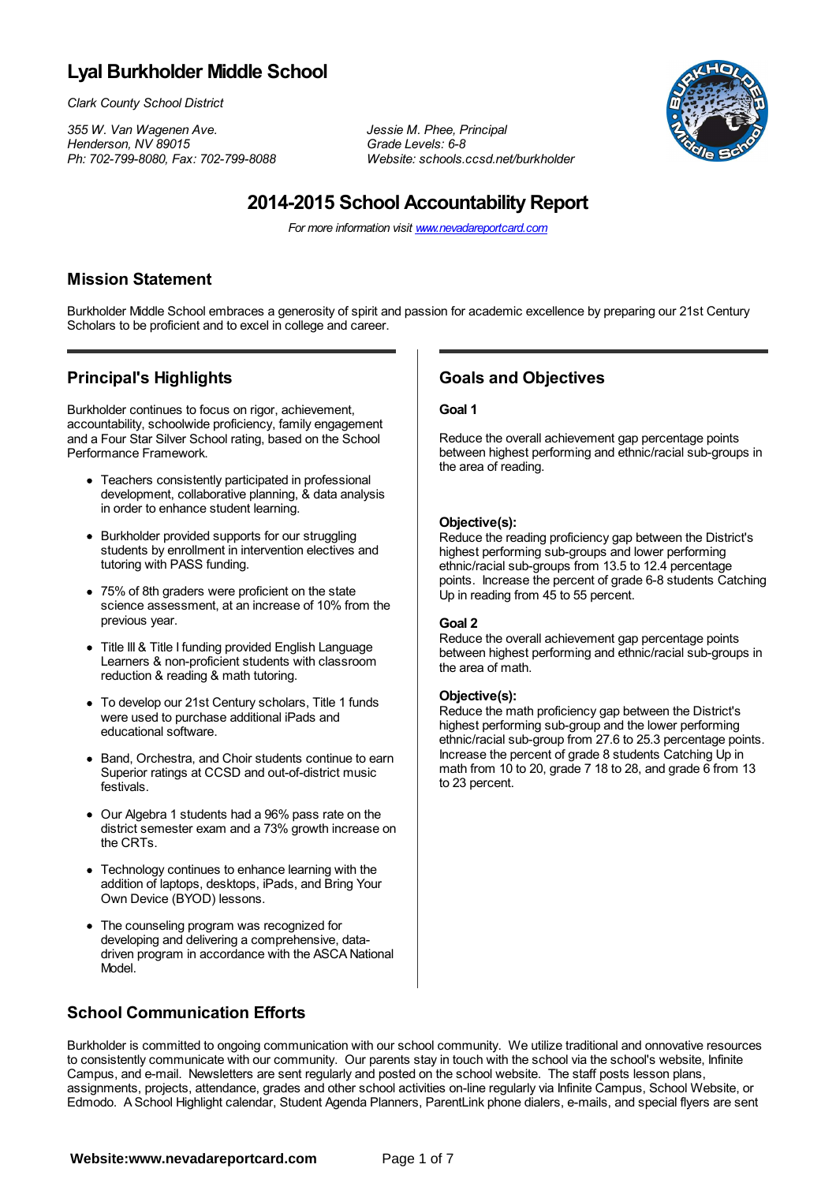# **Lyal Burkholder Middle School**

*Clark County School District*

*355 W. Van Wagenen Ave. Jessie M. Phee, Principal Ph:* 702-799-8080, *Fax:* 702-799-8088

*Henderson, NV 89015 Grade Levels: 6-8*



# **2014-2015 School Accountability Report**

*For more information visit www.nevadareportcard.com*

#### **Mission Statement**

Burkholder Middle School embraces a generosity of spirit and passion for academic excellence by preparing our 21st Century Scholars to be proficient and to excel in college and career.

### **Principal's Highlights**

Burkholder continues to focus on rigor, achievement, accountability, schoolwide proficiency, family engagement and a Four Star Silver School rating, based on the School Performance Framework.

- Teachers consistently participated in professional development, collaborative planning, & data analysis in order to enhance student learning.
- Burkholder provided supports for our struggling students by enrollment in intervention electives and tutoring with PASS funding.
- 75% of 8th graders were proficient on the state science assessment, at an increase of 10% from the previous year.
- Title III & Title I funding provided English Language Learners & non-proficient students with classroom reduction & reading & math tutoring.
- To develop our 21st Century scholars, Title 1 funds were used to purchase additional iPads and educational software.
- Band, Orchestra, and Choir students continue to earn Superior ratings at CCSD and out-of-district music festivals.
- Our Algebra 1 students had a 96% pass rate on the district semester exam and a 73% growth increase on the CRTs.
- Technology continues to enhance learning with the addition of laptops, desktops, iPads, and Bring Your Own Device (BYOD) lessons.
- The counseling program was recognized for developing and delivering a comprehensive, datadriven program in accordance with the ASCA National Model.

## **Goals and Objectives**

#### **Goal 1**

Reduce the overall achievement gap percentage points between highest performing and ethnic/racial sub-groups in the area of reading.

#### **Objective(s):**

Reduce the reading proficiency gap between the District's highest performing sub-groups and lower performing ethnic/racial sub-groups from 13.5 to 12.4 percentage points. Increase the percent of grade 6-8 students Catching Up in reading from 45 to 55 percent.

#### **Goal 2**

Reduce the overall achievement gap percentage points between highest performing and ethnic/racial sub-groups in the area of math.

#### **Objective(s):**

Reduce the math proficiency gap between the District's highest performing sub-group and the lower performing ethnic/racial sub-group from 27.6 to 25.3 percentage points. Increase the percent of grade 8 students Catching Up in math from 10 to 20, grade 7 18 to 28, and grade 6 from 13 to 23 percent.

#### **School Communication Efforts**

Burkholder is committed to ongoing communication with our school community. We utilize traditional and onnovative resources to consistently communicate with our community. Our parents stay in touch with the school via the school's website, Infinite Campus, and e-mail. Newsletters are sent regularly and posted on the school website. The staff posts lesson plans, assignments, projects, attendance, grades and other school activities on-line regularly via Infinite Campus, School Website, or Edmodo. A School Highlight calendar, Student Agenda Planners, ParentLink phone dialers, e-mails, and special flyers are sent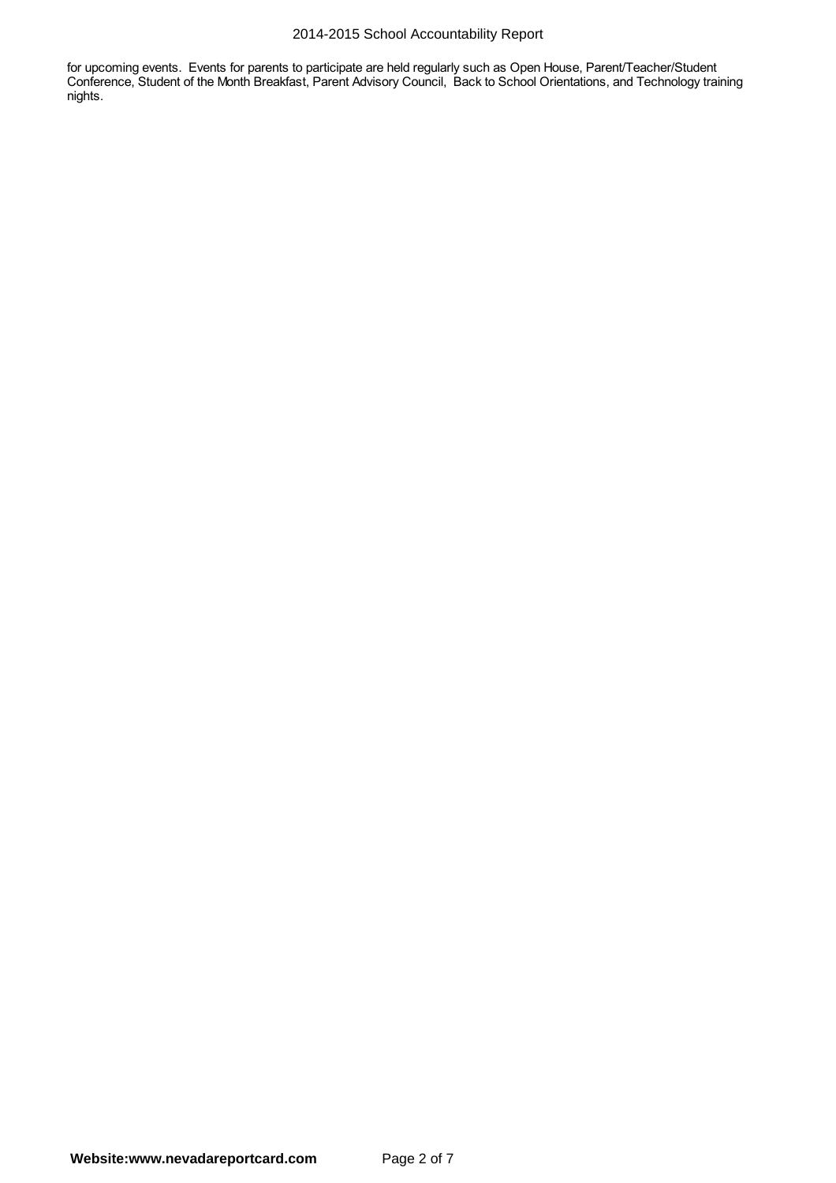#### 2014-2015 School Accountability Report

for upcoming events. Events for parents to participate are held regularly such as Open House, Parent/Teacher/Student Conference, Student of the Month Breakfast, Parent Advisory Council, Back to School Orientations, and Technology training nights.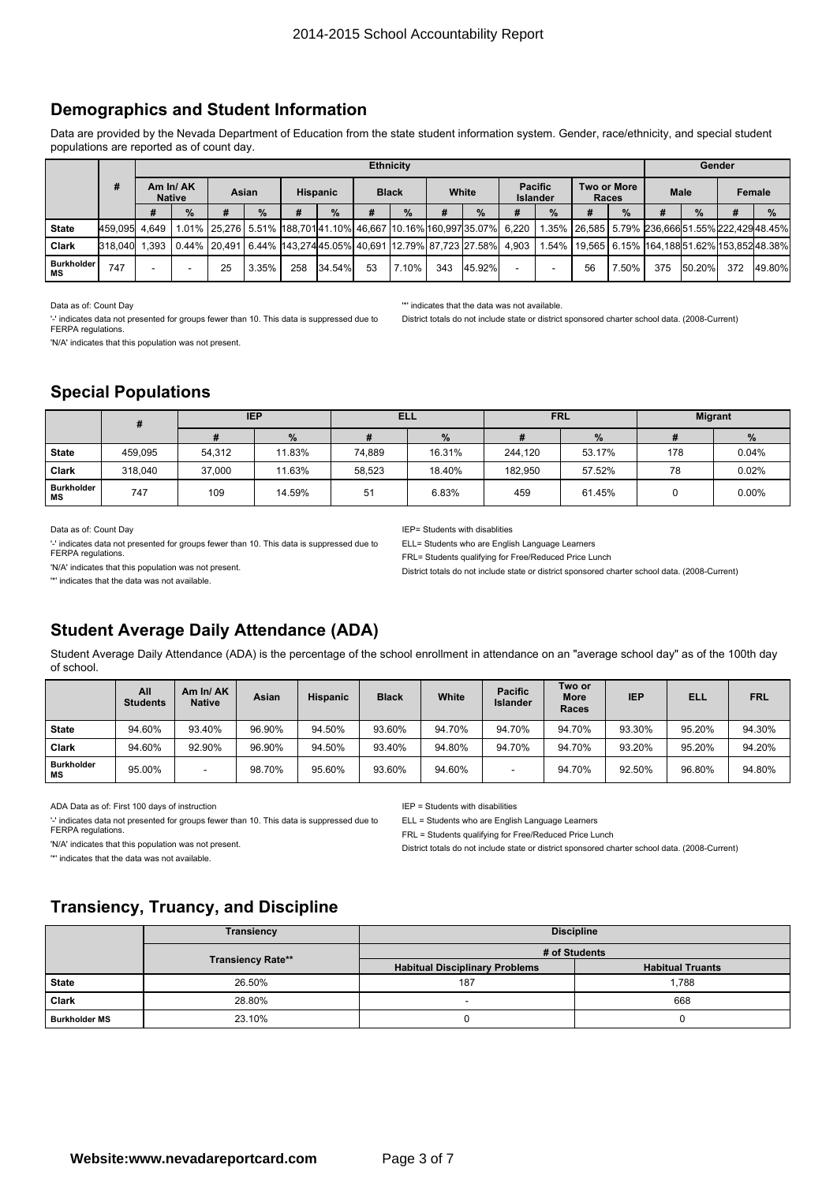### **Demographics and Student Information**

Data are provided by the Nevada Department of Education from the state student information system. Gender, race/ethnicity, and special student populations are reported as of count day.

|                         |                                |  | <b>Ethnicity</b> |    |                 |     |                       |    |                                   |     |                                                                                           |       |                    |    |                |     | Gender |     |                                                          |  |  |
|-------------------------|--------------------------------|--|------------------|----|-----------------|-----|-----------------------|----|-----------------------------------|-----|-------------------------------------------------------------------------------------------|-------|--------------------|----|----------------|-----|--------|-----|----------------------------------------------------------|--|--|
|                         | #<br>Am In/AK<br><b>Native</b> |  | Asian            |    | <b>Hispanic</b> |     | White<br><b>Black</b> |    | <b>Pacific</b><br><b>Islander</b> |     |                                                                                           | Races | <b>Two or More</b> |    | Male<br>Female |     |        |     |                                                          |  |  |
|                         |                                |  | $\frac{9}{6}$    | #  | $\%$            |     | $\%$                  | #  | $\frac{9}{6}$                     | #   | $\%$                                                                                      |       | $\frac{9}{6}$      | #  | $\frac{9}{6}$  | #   | $\%$   |     | $\frac{9}{6}$                                            |  |  |
| <b>State</b>            | 459.095 4.649                  |  |                  |    |                 |     |                       |    |                                   |     | <sup>∣</sup> 1.01%  25,276   5.51%  188,701 41.10%  46,667  10.16% 160,997 35.07%   6,220 |       |                    |    |                |     |        |     | 1.35% 26.585 5.79% 236.666 51.55% 222.429 48.45%         |  |  |
| Clark                   | 318,040 1.393                  |  |                  |    |                 |     |                       |    |                                   |     | 0.44%   20.491   6.44%   143.274 45.05%   40.691   12.79%   87.723   27.58%   4.903       |       |                    |    |                |     |        |     | 1.54%   19.565   6.15%   164.188 51.62%   153.852 48.38% |  |  |
| <b>Burkholder</b><br>ΜS | 747                            |  |                  | 25 | 3.35%           | 258 | 34.54%                | 53 | 7.10%                             | 343 | 45.92%                                                                                    | ۰     |                    | 56 | 7.50%          | 375 | 50.20% | 372 | 49.80%                                                   |  |  |

Data as of: Count Day

'-' indicates data not presented for groups fewer than 10. This data is suppressed due to FERPA regulations.

'N/A' indicates that this population was not present.

'\*' indicates that the data was not available.

District totals do not include state or district sponsored charter school data. (2008-Current)

### **Special Populations**

|                                |         | <b>IEP</b> |        | <b>ELL</b> |        |         | <b>FRL</b> | <b>Migrant</b> |       |
|--------------------------------|---------|------------|--------|------------|--------|---------|------------|----------------|-------|
|                                |         |            | $\%$   |            | %      |         | $\%$       |                | $\%$  |
| <b>State</b>                   | 459.095 | 54.312     | 11.83% | 74.889     | 16.31% | 244.120 | 53.17%     | 178            | 0.04% |
| Clark                          | 318.040 | 37.000     | 11.63% | 58,523     | 18.40% | 182.950 | 57.52%     | 78             | 0.02% |
| <b>Burkholder</b><br><b>MS</b> | 747     | 109        | 14.59% | 51         | 6.83%  | 459     | 61.45%     |                | 0.00% |

Data as of: Count Day

'-' indicates data not presented for groups fewer than 10. This data is suppressed due to FERPA regulations.

'N/A' indicates that this population was not present.

'\*' indicates that the data was not available.

IEP= Students with disablities

ELL= Students who are English Language Learners

FRL= Students qualifying for Free/Reduced Price Lunch

District totals do not include state or district sponsored charter school data. (2008-Current)

## **Student Average Daily Attendance (ADA)**

Student Average Daily Attendance (ADA) is the percentage of the school enrollment in attendance on an "average school day" as of the 100th day of school.

|                         | All<br><b>Students</b> | Am In/AK<br><b>Native</b> | Asian  | <b>Hispanic</b> | <b>Black</b> | White  | <b>Pacific</b><br><b>Islander</b> | Two or<br><b>More</b><br><b>Races</b> | IEP    | <b>ELL</b> | <b>FRL</b> |
|-------------------------|------------------------|---------------------------|--------|-----------------|--------------|--------|-----------------------------------|---------------------------------------|--------|------------|------------|
| <b>State</b>            | 94.60%                 | 93.40%                    | 96.90% | 94.50%          | 93.60%       | 94.70% | 94.70%                            | 94.70%                                | 93.30% | 95.20%     | 94.30%     |
| Clark                   | 94.60%                 | 92.90%                    | 96.90% | 94.50%          | 93.40%       | 94.80% | 94.70%                            | 94.70%                                | 93.20% | 95.20%     | 94.20%     |
| <b>Burkholder</b><br>МS | 95.00%                 | -                         | 98.70% | 95.60%          | 93.60%       | 94.60% |                                   | 94.70%                                | 92.50% | 96.80%     | 94.80%     |

ADA Data as of: First 100 days of instruction

'-' indicates data not presented for groups fewer than 10. This data is suppressed due to FERPA regulations

'N/A' indicates that this population was not present.

'\*' indicates that the data was not available.

IEP <sup>=</sup> Students with disabilities

ELL <sup>=</sup> Students who are English Language Learners

FRL <sup>=</sup> Students qualifying for Free/Reduced Price Lunch

District totals do not include state or district sponsored charter school data. (2008-Current)

#### **Transiency, Truancy, and Discipline**

|                      | <b>Transiency</b>        | <b>Discipline</b>                     |                         |  |  |  |  |  |  |
|----------------------|--------------------------|---------------------------------------|-------------------------|--|--|--|--|--|--|
|                      |                          | # of Students                         |                         |  |  |  |  |  |  |
|                      | <b>Transiency Rate**</b> | <b>Habitual Disciplinary Problems</b> | <b>Habitual Truants</b> |  |  |  |  |  |  |
| <b>State</b>         | 26.50%                   | 187                                   | 1,788                   |  |  |  |  |  |  |
| <b>Clark</b>         | 28.80%                   |                                       | 668                     |  |  |  |  |  |  |
| <b>Burkholder MS</b> | 23.10%                   |                                       |                         |  |  |  |  |  |  |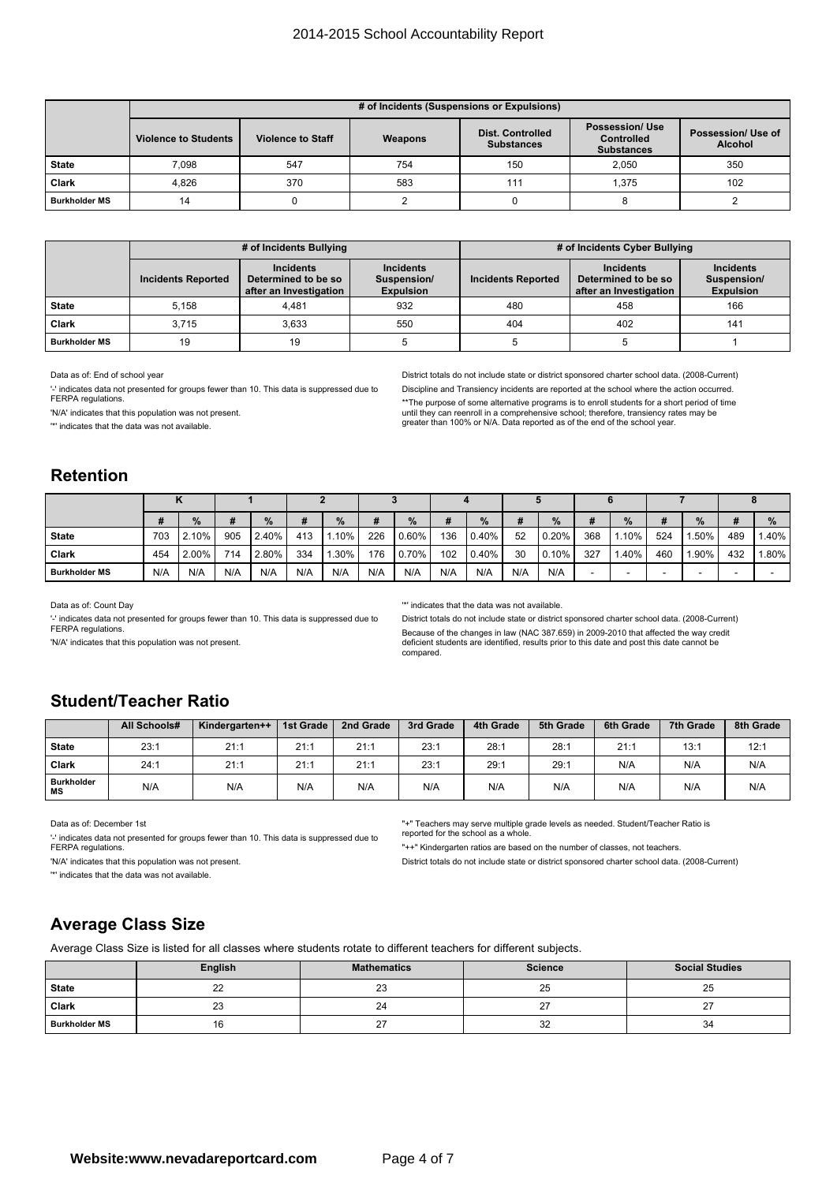#### 2014-2015 School Accountability Report

|                      |                             | # of Incidents (Suspensions or Expulsions) |         |                                              |                                                                  |                                      |  |  |  |  |  |  |  |  |  |
|----------------------|-----------------------------|--------------------------------------------|---------|----------------------------------------------|------------------------------------------------------------------|--------------------------------------|--|--|--|--|--|--|--|--|--|
|                      | <b>Violence to Students</b> | <b>Violence to Staff</b>                   | Weapons | <b>Dist. Controlled</b><br><b>Substances</b> | <b>Possession/ Use</b><br><b>Controlled</b><br><b>Substances</b> | Possession/ Use of<br><b>Alcohol</b> |  |  |  |  |  |  |  |  |  |
| <b>State</b>         | 7.098                       | 547                                        | 754     | 150                                          | 2.050                                                            | 350                                  |  |  |  |  |  |  |  |  |  |
| <b>Clark</b>         | 4.826                       | 370                                        | 583     | 111                                          | 1.375                                                            | 102                                  |  |  |  |  |  |  |  |  |  |
| <b>Burkholder MS</b> | 14                          |                                            |         |                                              |                                                                  |                                      |  |  |  |  |  |  |  |  |  |

|                      |                           | # of Incidents Bullying                                           |                                                     | # of Incidents Cyber Bullying |                                                                   |                                                     |  |  |  |
|----------------------|---------------------------|-------------------------------------------------------------------|-----------------------------------------------------|-------------------------------|-------------------------------------------------------------------|-----------------------------------------------------|--|--|--|
|                      | <b>Incidents Reported</b> | <b>Incidents</b><br>Determined to be so<br>after an Investigation | <b>Incidents</b><br>Suspension/<br><b>Expulsion</b> | <b>Incidents Reported</b>     | <b>Incidents</b><br>Determined to be so<br>after an Investigation | <b>Incidents</b><br>Suspension/<br><b>Expulsion</b> |  |  |  |
| <b>State</b>         | 5.158                     | 4.481                                                             | 932                                                 | 480                           | 458                                                               | 166                                                 |  |  |  |
| <b>Clark</b>         | 3.715                     | 3.633                                                             | 550                                                 | 404                           | 402                                                               | 141                                                 |  |  |  |
| <b>Burkholder MS</b> | 19                        | 19                                                                |                                                     |                               |                                                                   |                                                     |  |  |  |

Data as of: End of school year

'-' indicates data not presented for groups fewer than 10. This data is suppressed due to FERPA regulations

'N/A' indicates that this population was not present.

'\*' indicates that the data was not available.

District totals do not include state or district sponsored charter school data. (2008-Current) Discipline and Transiency incidents are reported at the school where the action occurred. \*\*The purpose of some alternative programs is to enroll students for <sup>a</sup> short period of time until they can reenroll in <sup>a</sup> comprehensive school; therefore, transiency rates may be greater than 100% or N/A. Data reported as of the end of the school year.

#### **Retention**

|                      |     | $\%$  | #   | %     | #   | $\%$   |     | $\%$     | #   | $\%$     |     | $\%$  | #   | %     | #   | $\%$ |     | $\%$     |
|----------------------|-----|-------|-----|-------|-----|--------|-----|----------|-----|----------|-----|-------|-----|-------|-----|------|-----|----------|
| <b>State</b>         | 703 | 2.10% | 905 | 2.40% | 413 | 10%    | 226 | $0.60\%$ | 136 | $0.40\%$ | 52  | 0.20% | 368 | 1.10% | 524 | .50% | 489 | $1.40\%$ |
| Clark                | 454 | 2.00% | 714 | 2.80% | 334 | ا 30%، | 176 | $0.70\%$ | 102 | $0.40\%$ | 30  | 0.10% | 327 | 1.40% | 460 | .90% | 432 | i.80% l  |
| <b>Burkholder MS</b> | N/A | N/A   | N/A | N/A   | N/A | N/A    | N/A | N/A      | N/A | N/A      | N/A | N/A   |     | -     |     |      |     |          |

Data as of: Count Day

'-' indicates data not presented for groups fewer than 10. This data is suppressed due to FERPA regulations

'N/A' indicates that this population was not present.

'\*' indicates that the data was not available.

District totals do not include state or district sponsored charter school data. (2008-Current) Because of the changes in law (NAC 387.659) in 2009-2010 that affected the way credit deficient students are identified, results prior to this date and post this date cannot be compared.

### **Student/Teacher Ratio**

|                                | All Schools# | Kindergarten++ | 1st Grade | 2nd Grade | 3rd Grade | 4th Grade | 5th Grade | 6th Grade | 7th Grade | 8th Grade |
|--------------------------------|--------------|----------------|-----------|-----------|-----------|-----------|-----------|-----------|-----------|-----------|
| <b>State</b>                   | 23:1         | 21:1           | 21:1      | 21:1      | 23:1      | 28:1      | 28:1      | 21:1      | 13:1      | 12:1      |
| <b>Clark</b>                   | 24:1         | 21:1           | 21:1      | 21:1      | 23:       | 29:1      | 29:1      | N/A       | N/A       | N/A       |
| <b>Burkholder</b><br><b>MS</b> | N/A          | N/A            | N/A       | N/A       | N/A       | N/A       | N/A       | N/A       | N/A       | N/A       |

Data as of: December 1st

'-' indicates data not presented for groups fewer than 10. This data is suppressed due to FERPA regulations.

'N/A' indicates that this population was not present

'\*' indicates that the data was not available.

"+" Teachers may serve multiple grade levels as needed. Student/Teacher Ratio is reported for the school as <sup>a</sup> whole.

"++" Kindergarten ratios are based on the number of classes, not teachers.

District totals do not include state or district sponsored charter school data. (2008-Current)

#### **Average Class Size**

Average Class Size is listed for all classes where students rotate to different teachers for different subjects.

|                      | English      | <b>Mathematics</b> | <b>Science</b> | <b>Social Studies</b> |
|----------------------|--------------|--------------------|----------------|-----------------------|
| <b>State</b>         | $\sim$<br>∠∠ | n r<br>ںے          | 25             | 25                    |
| Clark                | ົ<br>23      | 24                 | ົ              | $\sim$<br>-           |
| <b>Burkholder MS</b> | 16           | ~-<br>، ے          | 32             | 34                    |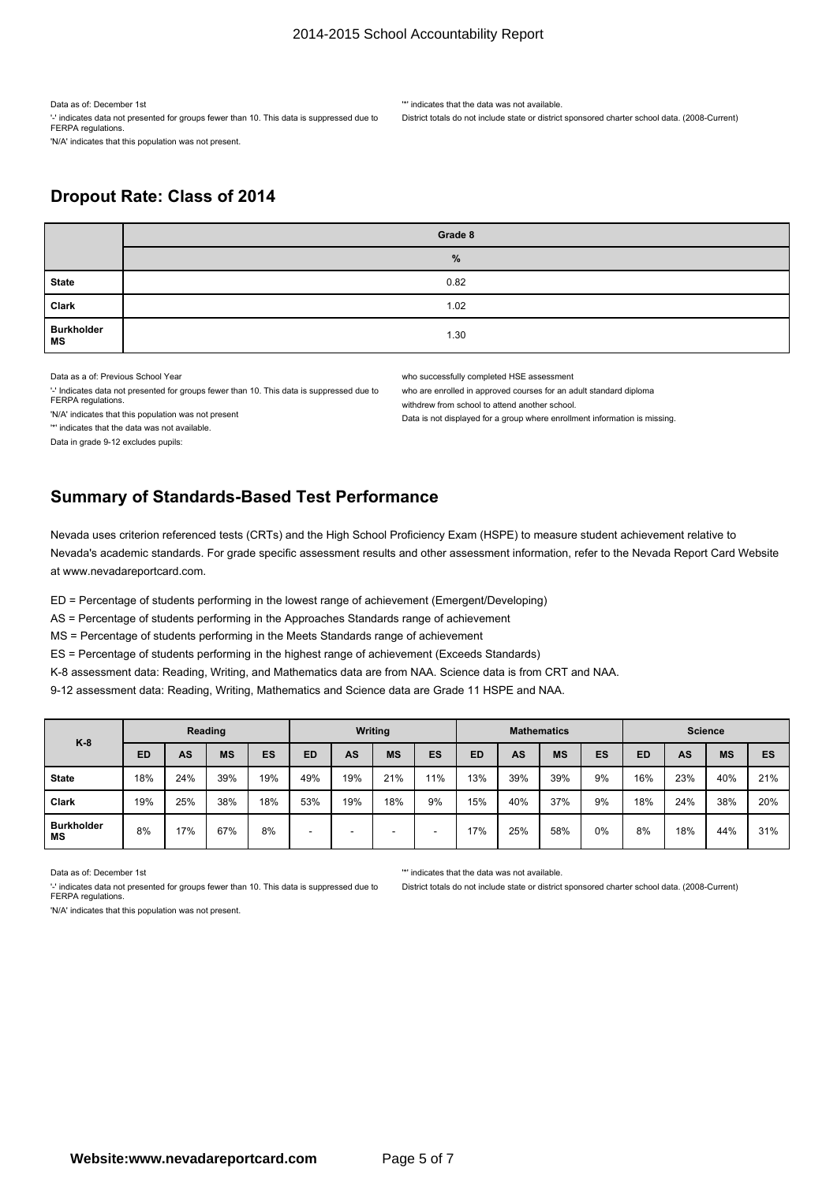Data as of: December 1st

'-' indicates data not presented for groups fewer than 10. This data is suppressed due to FERPA regulations. 'N/A' indicates that this population was not present.

'\*' indicates that the data was not available.

District totals do not include state or district sponsored charter school data. (2008-Current)

### **Dropout Rate: Class of 2014**

|                                | Grade 8 |
|--------------------------------|---------|
|                                | %       |
| <b>State</b>                   | 0.82    |
| Clark                          | 1.02    |
| <b>Burkholder</b><br><b>MS</b> | 1.30    |

Data as a of: Previous School Year

'-' Indicates data not presented for groups fewer than 10. This data is suppressed due to FERPA regulations

'N/A' indicates that this population was not present

'\*' indicates that the data was not available.

who successfully completed HSE assessment

who are enrolled in approved courses for an adult standard diploma

withdrew from school to attend another school.

Data is not displayed for <sup>a</sup> group where enrollment information is missing.

Data in grade 9-12 excludes pupils:

## **Summary of Standards-Based Test Performance**

Nevada uses criterion referenced tests (CRTs) and the High School Proficiency Exam (HSPE) to measure student achievement relative to Nevada's academic standards. For grade specific assessment results and other assessment information, refer to the Nevada Report Card Website at www.nevadareportcard.com.

ED <sup>=</sup> Percentage of students performing in the lowest range of achievement (Emergent/Developing)

AS <sup>=</sup> Percentage of students performing in the Approaches Standards range of achievement

MS <sup>=</sup> Percentage of students performing in the Meets Standards range of achievement

ES <sup>=</sup> Percentage of students performing in the highest range of achievement (Exceeds Standards)

K-8 assessment data: Reading, Writing, and Mathematics data are from NAA. Science data is from CRT and NAA.

9-12 assessment data: Reading, Writing, Mathematics and Science data are Grade 11 HSPE and NAA.

| $K-8$                   | Reading   |     |           |     | Writing   |     |           | <b>Mathematics</b> |           |     |           | <b>Science</b> |           |     |           |     |
|-------------------------|-----------|-----|-----------|-----|-----------|-----|-----------|--------------------|-----------|-----|-----------|----------------|-----------|-----|-----------|-----|
|                         | <b>ED</b> | AS  | <b>MS</b> | ES  | <b>ED</b> | AS  | <b>MS</b> | <b>ES</b>          | <b>ED</b> | AS  | <b>MS</b> | ES             | <b>ED</b> | AS  | <b>MS</b> | ES  |
| <b>State</b>            | 18%       | 24% | 39%       | 19% | 49%       | 19% | 21%       | 11%                | 13%       | 39% | 39%       | 9%             | 16%       | 23% | 40%       | 21% |
| <b>Clark</b>            | 19%       | 25% | 38%       | 18% | 53%       | 19% | 18%       | 9%                 | 15%       | 40% | 37%       | 9%             | 18%       | 24% | 38%       | 20% |
| <b>Burkholder</b><br>ΜS | 8%        | 17% | 67%       | 8%  | -         |     | -         |                    | 17%       | 25% | 58%       | 0%             | 8%        | 18% | 44%       | 31% |

Data as of: December 1st

FERPA regulations.

'\*' indicates that the data was not available.

District totals do not include state or district sponsored charter school data. (2008-Current)

'N/A' indicates that this population was not present.

'-' indicates data not presented for groups fewer than 10. This data is suppressed due to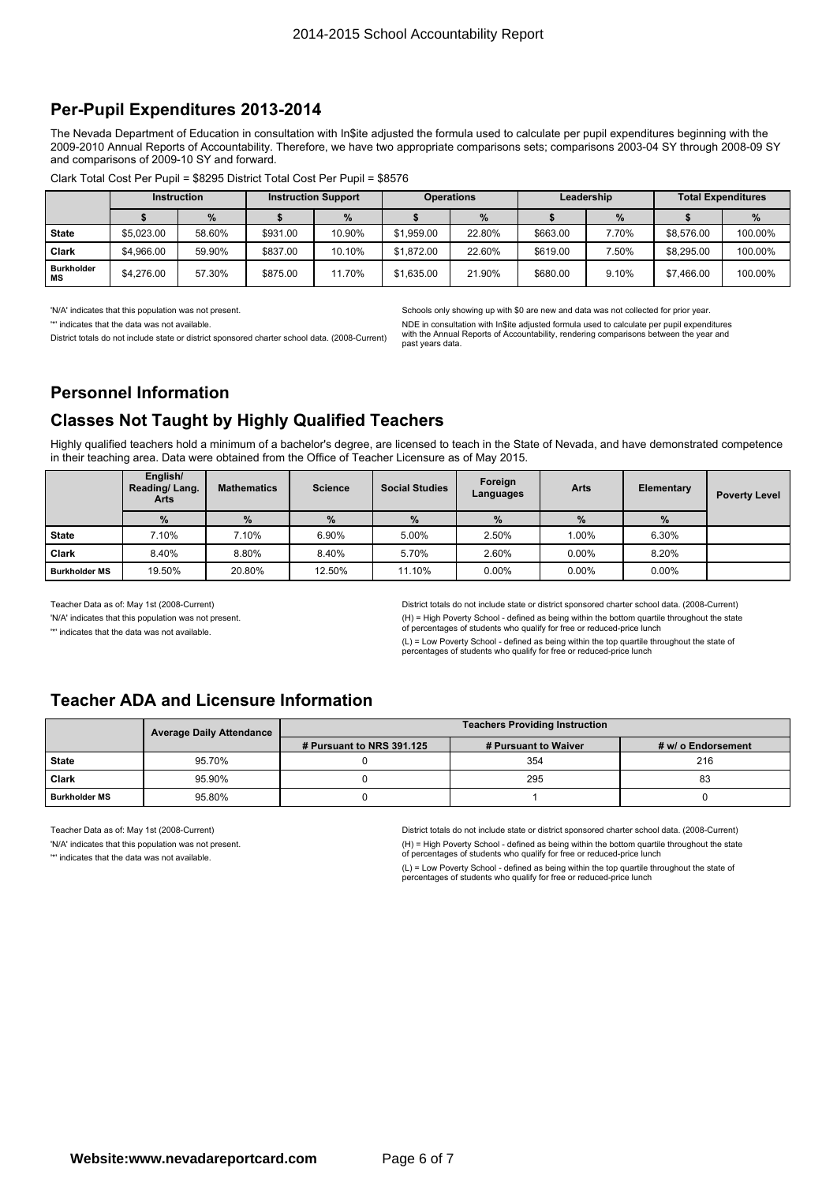#### **Per-Pupil Expenditures 2013-2014**

The Nevada Department of Education in consultation with In\$ite adjusted the formula used to calculate per pupil expenditures beginning with the 2009-2010 Annual Reports of Accountability. Therefore, we have two appropriate comparisons sets; comparisons 2003-04 SY through 2008-09 SY and comparisons of 2009-10 SY and forward.

|                         | <b>Instruction</b> |        | <b>Instruction Support</b> |        | <b>Operations</b> |        | Leadership |       | <b>Total Expenditures</b> |         |
|-------------------------|--------------------|--------|----------------------------|--------|-------------------|--------|------------|-------|---------------------------|---------|
|                         |                    | $\%$   |                            | %      |                   | %      |            | $\%$  |                           | %       |
| <b>State</b>            | \$5.023.00         | 58.60% | \$931.00                   | 10.90% | \$1,959.00        | 22.80% | \$663.00   | 7.70% | \$8,576.00                | 100.00% |
| Clark                   | \$4,966.00         | 59.90% | \$837.00                   | 10.10% | \$1,872.00        | 22.60% | \$619.00   | .50%  | \$8,295,00                | 100.00% |
| <b>Burkholder</b><br>МS | \$4,276.00         | 57.30% | \$875.00                   | 11.70% | \$1.635.00        | 21.90% | \$680.00   | 9.10% | \$7,466.00                | 100.00% |

'N/A' indicates that this population was not present

'\*' indicates that the data was not available.

District totals do not include state or district sponsored charter school data. (2008-Current)

Schools only showing up with \$0 are new and data was not collected for prior year.

NDE in consultation with In\$ite adjusted formula used to calculate per pupil expenditures with the Annual Reports of Accountability, rendering comparisons between the year and past years data.

### **Personnel Information**

### **Classes Not Taught by Highly Qualified Teachers**

Highly qualified teachers hold <sup>a</sup> minimum of <sup>a</sup> bachelor's degree, are licensed to teach in the State of Nevada, and have demonstrated competence in their teaching area. Data were obtained from the Office of Teacher Licensure as of May 2015.

|                      | English/<br>Reading/Lang.<br>Arts | <b>Mathematics</b> | <b>Science</b> | <b>Social Studies</b> | Foreign<br>Languages | <b>Arts</b> | <b>Elementary</b> | <b>Poverty Level</b> |
|----------------------|-----------------------------------|--------------------|----------------|-----------------------|----------------------|-------------|-------------------|----------------------|
|                      | %                                 | %                  | $\%$           | $\%$                  | $\%$                 | %           | %                 |                      |
| <b>State</b>         | 7.10%                             | 7.10%              | 6.90%          | 5.00%                 | 2.50%                | 1.00%       | 6.30%             |                      |
| <b>Clark</b>         | 8.40%                             | 8.80%              | 8.40%          | 5.70%                 | 2.60%                | $0.00\%$    | 8.20%             |                      |
| <b>Burkholder MS</b> | 19.50%                            | 20.80%             | 12.50%         | 11.10%                | $0.00\%$             | $0.00\%$    | $0.00\%$          |                      |

Teacher Data as of: May 1st (2008-Current)

'N/A' indicates that this population was not present.

'\*' indicates that the data was not available.

District totals do not include state or district sponsored charter school data. (2008-Current) (H) <sup>=</sup> High Poverty School - defined as being within the bottom quartile throughout the state of percentages of students who qualify for free or reduced-price lunch

(L) <sup>=</sup> Low Poverty School - defined as being within the top quartile throughout the state of percentages of students who qualify for free or reduced-price lunch

### **Teacher ADA and Licensure Information**

|                      | <b>Average Daily Attendance</b> | <b>Teachers Providing Instruction</b> |                      |                    |  |  |  |
|----------------------|---------------------------------|---------------------------------------|----------------------|--------------------|--|--|--|
|                      |                                 | # Pursuant to NRS 391.125             | # Pursuant to Waiver | # w/ o Endorsement |  |  |  |
| <b>State</b>         | 95.70%                          |                                       | 354                  | 216                |  |  |  |
| Clark                | 95.90%                          |                                       | 295                  | 83                 |  |  |  |
| <b>Burkholder MS</b> | 95.80%                          |                                       |                      |                    |  |  |  |

Teacher Data as of: May 1st (2008-Current)

'N/A' indicates that this population was not present.

'\*' indicates that the data was not available.

District totals do not include state or district sponsored charter school data. (2008-Current) (H) <sup>=</sup> High Poverty School - defined as being within the bottom quartile throughout the state of percentages of students who qualify for free or reduced-price lunch

(L) <sup>=</sup> Low Poverty School - defined as being within the top quartile throughout the state of percentages of students who qualify for free or reduced-price lunch